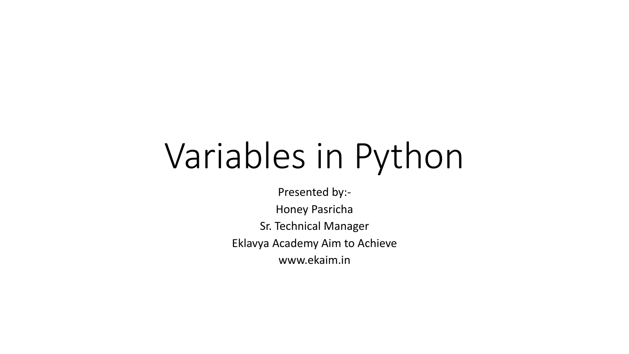# Variables in Python

Presented by:- Honey Pasricha Sr. Technical Manager Eklavya Academy Aim to Achieve www.ekaim.in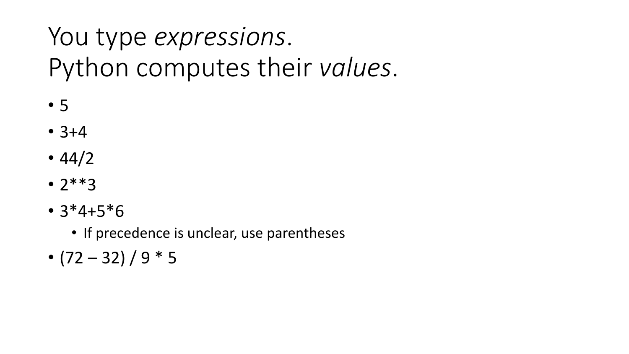# You type *expressions*. Python computes their *values*.

- 5
- 3+4
- $44/2$
- 2\*\*3
- $3*4+5*6$ 
	- If precedence is unclear, use parentheses
- $\bullet$  (72 32) / 9  $*$  5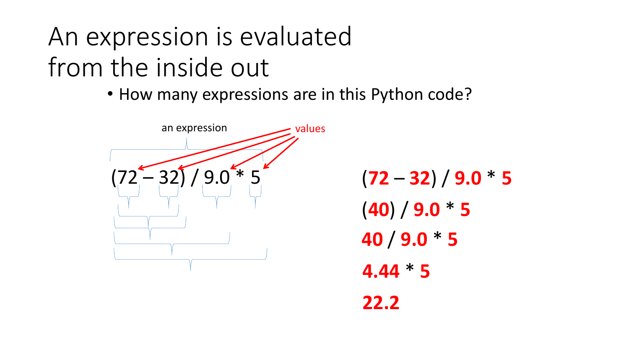# An expression is evaluated from the inside out

• How many expressions are in this Python code?



(**72** – **32**) / **9.0** \* **5** (**40**) / **9.0** \* **5 40** / **9.0** \* **5 4.44** \* **5 22.2**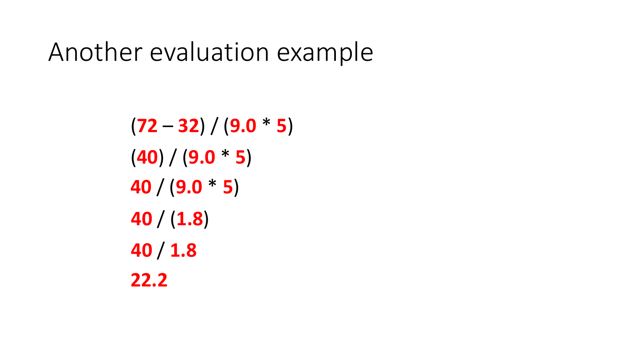Another evaluation example

(**72** – **32**) / (**9.0** \* **5**) (**40**) / (**9.0** \* **5**) **40** / (**9.0** \* **5**) **40** / (**1.8**) **40** / **1.8 22.2**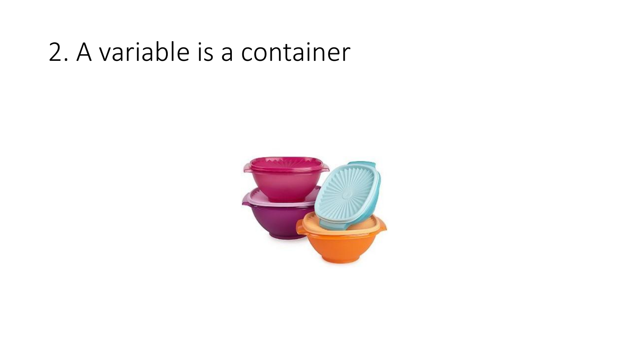## 2. A variable is a container

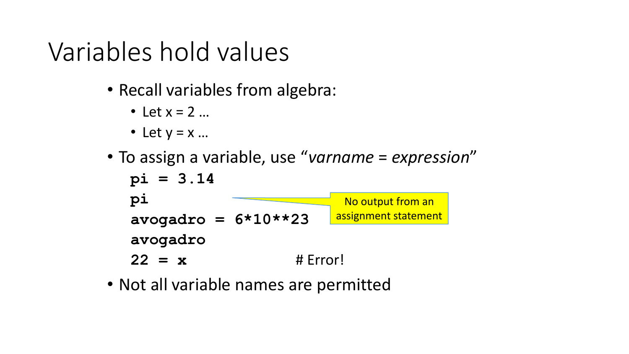### Variables hold values

- Recall variables from algebra:
	- Let  $x = 2$  ...
	- Let  $y = x$  ...
- To assign a variable, use "*varname* = *expression*"

$$
pi = 3.14
$$
\n
$$
pi = 3.14
$$
\n
$$
avgadro = 6*10**23
$$
\n
$$
avgadro = 4*10**23
$$
\n
$$
22 = x
$$
\n
$$
4:1000
$$
\n
$$
4:1000
$$
\n
$$
4:1000
$$
\n
$$
4:1000
$$
\n
$$
4:1000
$$
\n
$$
4:1000
$$
\n
$$
4:1000
$$
\n
$$
4:1000
$$
\n
$$
4:1000
$$
\n
$$
4:1000
$$
\n
$$
4:1000
$$
\n
$$
4:1000
$$
\n
$$
4:1000
$$
\n
$$
4:1000
$$
\n
$$
4:1000
$$
\n
$$
4:1000
$$
\n
$$
4:1000
$$
\n
$$
4:1000
$$
\n
$$
4:1000
$$
\n
$$
4:1000
$$
\n
$$
4:1000
$$
\n
$$
4:1000
$$
\n
$$
4:1000
$$
\n
$$
4:1000
$$
\n
$$
4:1000
$$
\n
$$
4:1000
$$
\n
$$
4:1000
$$
\n
$$
4:1000
$$
\n
$$
4:1000
$$
\n
$$
4:1000
$$
\n
$$
4:1000
$$
\n
$$
4:1000
$$
\n
$$
4:1000
$$
\n
$$
4:1000
$$
\n
$$
4:1000
$$
\n
$$
4:1000
$$
\n
$$
4:1000
$$
\n
$$
4:1000
$$
\n
$$
4:1000
$$
\n
$$
4:1000
$$
\n
$$
4:1000
$$
\n
$$
4:1000
$$
\n $$ 

• Not all variable names are permitted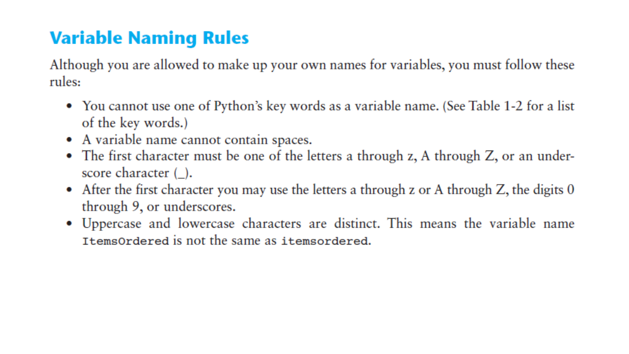#### **Variable Naming Rules**

Although you are allowed to make up your own names for variables, you must follow these rules:

- You cannot use one of Python's key words as a variable name. (See Table 1-2 for a list of the key words.)
- A variable name cannot contain spaces.
- The first character must be one of the letters a through z, A through Z, or an underscore character  $(\_)$ .
- After the first character you may use the letters a through z or A through  $Z$ , the digits 0 through 9, or underscores.
- Uppercase and lowercase characters are distinct. This means the variable name ItemsOrdered is not the same as itemsordered.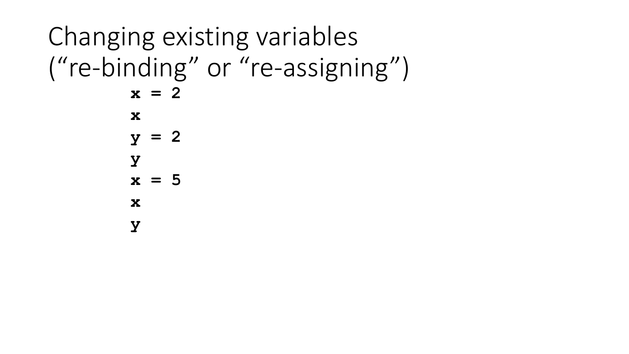#### Changing existing variables ("re-binding" or "re-assigning")  $x = 2$ **x y = 2 y x = 5 x**

**y**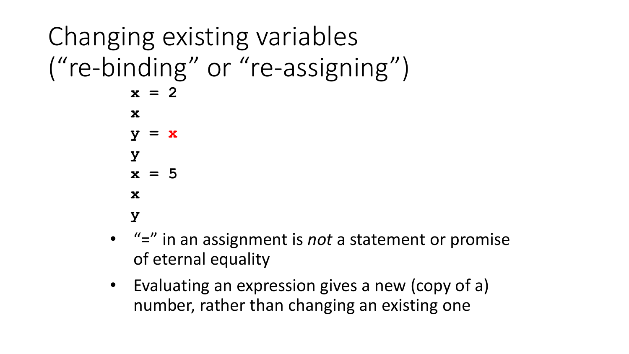#### Changing existing variables ("re-binding" or "re-assigning") **x = 2 x y = x y x = 5 x y**

- "=" in an assignment is *not* a statement or promise of eternal equality
- Evaluating an expression gives a new (copy of a) number, rather than changing an existing one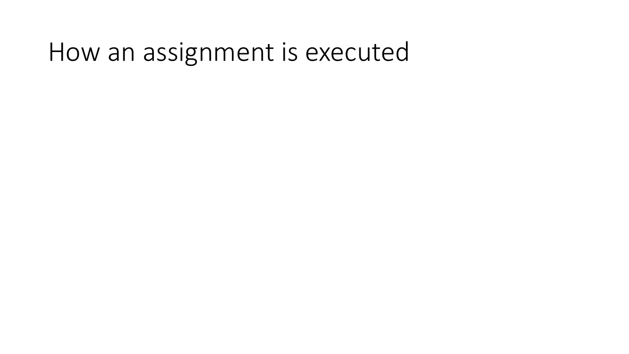### How an assignment is executed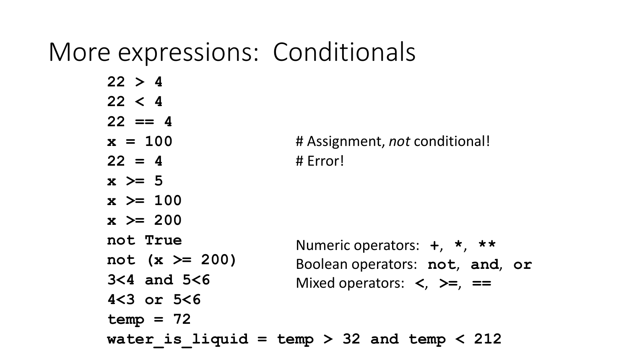### More expressions: Conditionals

| 22 > 4                                     |                                             |
|--------------------------------------------|---------------------------------------------|
| 22 < 4                                     |                                             |
| $22 == 4$                                  |                                             |
| $x = 100$                                  | # Assignment, not conditional!              |
| $22 = 4$                                   | # Error!                                    |
| $x \geq 5$                                 |                                             |
| $x \ge 100$                                |                                             |
| $x \ge 200$                                |                                             |
| not True                                   | Numeric operators: $+, * , *$               |
| not (x $>= 200$ )                          | Boolean operators: not, and, or             |
| $3<4$ and $5<6$                            | Mixed operators: $\lt$ , $\gt =$ , $\equiv$ |
| $4<3$ or $5<6$                             |                                             |
| $temp = 72$                                |                                             |
| water is liquid = temp > 32 and temp < 212 |                                             |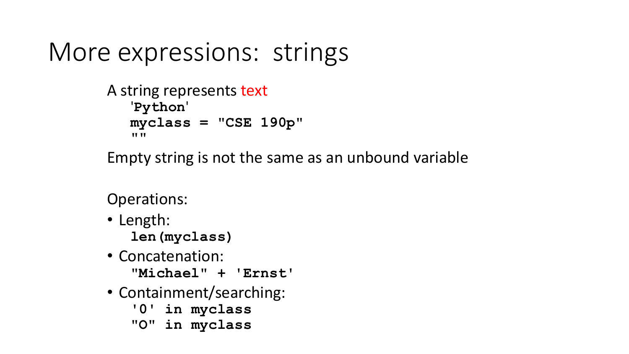```
More expressions: strings
```

```
A string represents text
'Python'
myclass = "CSE 190p"
" "
```
Empty string is not the same as an unbound variable

Operations:

- Length: **len(myclass)**
- Concatenation: **"Michael" + 'Ernst'**
- Containment/searching: **'0' in myclass**
	- **"O" in myclass**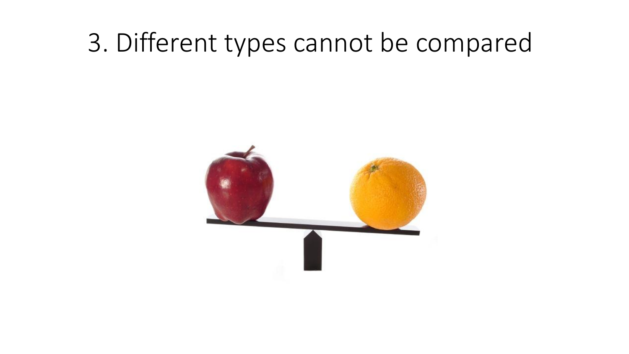### 3. Different types cannot be compared

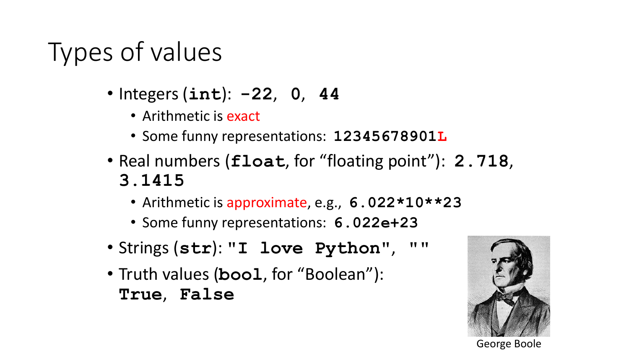# Types of values

- Integers (**int**): **-22**, **0**, **44**
	- Arithmetic is exact
	- Some funny representations: **12345678901L**
- Real numbers (**float**, for "floating point"): **2.718**, **3.1415**
	- Arithmetic is approximate, e.g., **6.022\*10\*\*23**
	- Some funny representations: **6.022e+23**
- Strings (**str**): **"I love Python"**, **""**
- Truth values (**bool**, for "Boolean"): **True**, **False**



George Boole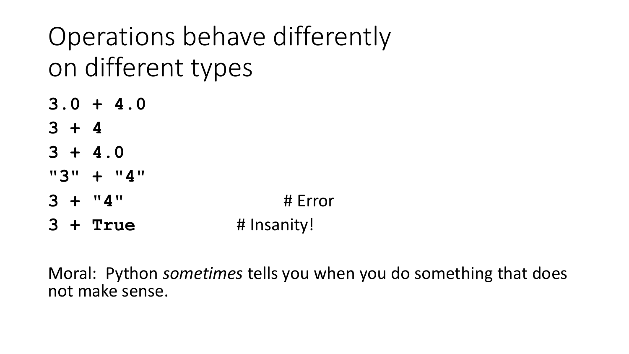# Operations behave differently on different types

- **3.0 + 4.0**
- **3 + 4**
- **3 + 4.0**
- **"3" + "4"**
- **3 + "4"** # Error
- **3 + True** # Insanity!

Moral: Python *sometimes* tells you when you do something that does not make sense.